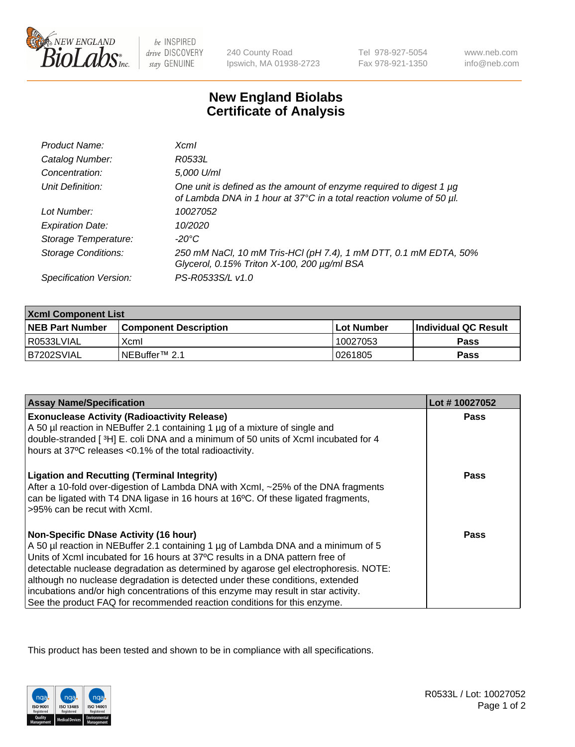

 $be$  INSPIRED drive DISCOVERY stay GENUINE

240 County Road Ipswich, MA 01938-2723 Tel 978-927-5054 Fax 978-921-1350

www.neb.com info@neb.com

## **New England Biolabs Certificate of Analysis**

| Product Name:              | Xcml                                                                                                                                             |
|----------------------------|--------------------------------------------------------------------------------------------------------------------------------------------------|
| Catalog Number:            | R0533L                                                                                                                                           |
| Concentration:             | 5,000 U/ml                                                                                                                                       |
| Unit Definition:           | One unit is defined as the amount of enzyme required to digest 1 $\mu$ g<br>of Lambda DNA in 1 hour at 37°C in a total reaction volume of 50 µl. |
| Lot Number:                | 10027052                                                                                                                                         |
| <b>Expiration Date:</b>    | 10/2020                                                                                                                                          |
| Storage Temperature:       | -20°C                                                                                                                                            |
| <b>Storage Conditions:</b> | 250 mM NaCl, 10 mM Tris-HCl (pH 7.4), 1 mM DTT, 0.1 mM EDTA, 50%<br>Glycerol, 0.15% Triton X-100, 200 µg/ml BSA                                  |
| Specification Version:     | PS-R0533S/L v1.0                                                                                                                                 |

| <b>Xcml Component List</b> |                              |              |                        |  |  |
|----------------------------|------------------------------|--------------|------------------------|--|--|
| <b>NEB Part Number</b>     | <b>Component Description</b> | l Lot Number | l Individual QC Result |  |  |
| R0533LVIAL                 | Xcml                         | 10027053     | Pass                   |  |  |
| IB7202SVIAL                | INEBuffer™ 2.1               | 0261805      | Pass                   |  |  |

| <b>Assay Name/Specification</b>                                                                                                                                                                                                                                                                                                                                                                                                                                                                                                                              | Lot #10027052 |
|--------------------------------------------------------------------------------------------------------------------------------------------------------------------------------------------------------------------------------------------------------------------------------------------------------------------------------------------------------------------------------------------------------------------------------------------------------------------------------------------------------------------------------------------------------------|---------------|
| <b>Exonuclease Activity (Radioactivity Release)</b><br>A 50 µl reaction in NEBuffer 2.1 containing 1 µg of a mixture of single and<br>double-stranded [3H] E. coli DNA and a minimum of 50 units of XcmI incubated for 4<br>hours at 37°C releases <0.1% of the total radioactivity.                                                                                                                                                                                                                                                                         | <b>Pass</b>   |
| <b>Ligation and Recutting (Terminal Integrity)</b><br>After a 10-fold over-digestion of Lambda DNA with Xcml, ~25% of the DNA fragments<br>can be ligated with T4 DNA ligase in 16 hours at 16°C. Of these ligated fragments,<br>>95% can be recut with Xcml.                                                                                                                                                                                                                                                                                                | Pass          |
| <b>Non-Specific DNase Activity (16 hour)</b><br>A 50 µl reaction in NEBuffer 2.1 containing 1 µg of Lambda DNA and a minimum of 5<br>Units of XcmI incubated for 16 hours at 37°C results in a DNA pattern free of<br>detectable nuclease degradation as determined by agarose gel electrophoresis. NOTE:<br>although no nuclease degradation is detected under these conditions, extended<br>incubations and/or high concentrations of this enzyme may result in star activity.<br>See the product FAQ for recommended reaction conditions for this enzyme. | Pass          |

This product has been tested and shown to be in compliance with all specifications.